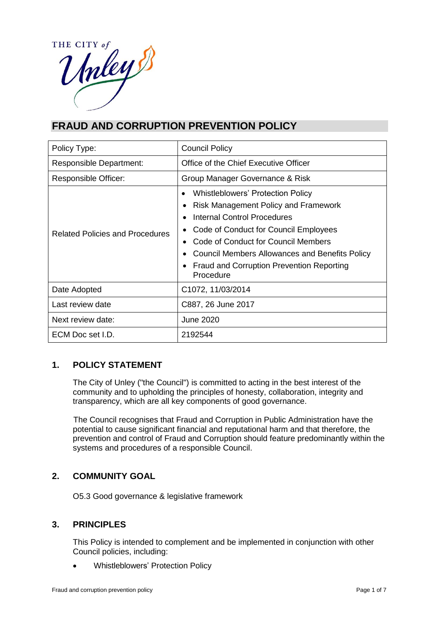

# **FRAUD AND CORRUPTION PREVENTION POLICY**

| Policy Type:                           | <b>Council Policy</b>                                                                                                                                                                                                                                                                                              |  |
|----------------------------------------|--------------------------------------------------------------------------------------------------------------------------------------------------------------------------------------------------------------------------------------------------------------------------------------------------------------------|--|
| <b>Responsible Department:</b>         | Office of the Chief Executive Officer                                                                                                                                                                                                                                                                              |  |
| Responsible Officer:                   | Group Manager Governance & Risk                                                                                                                                                                                                                                                                                    |  |
| <b>Related Policies and Procedures</b> | <b>Whistleblowers' Protection Policy</b><br>Risk Management Policy and Framework<br>Internal Control Procedures<br>Code of Conduct for Council Employees<br>Code of Conduct for Council Members<br><b>Council Members Allowances and Benefits Policy</b><br>Fraud and Corruption Prevention Reporting<br>Procedure |  |
| Date Adopted                           | C1072, 11/03/2014                                                                                                                                                                                                                                                                                                  |  |
| Last review date                       | C887, 26 June 2017                                                                                                                                                                                                                                                                                                 |  |
| Next review date:                      | June 2020                                                                                                                                                                                                                                                                                                          |  |
| ECM Doc set I.D.                       | 2192544                                                                                                                                                                                                                                                                                                            |  |

# **1. POLICY STATEMENT**

The City of Unley ("the Council") is committed to acting in the best interest of the community and to upholding the principles of honesty, collaboration, integrity and transparency, which are all key components of good governance.

The Council recognises that Fraud and Corruption in Public Administration have the potential to cause significant financial and reputational harm and that therefore, the prevention and control of Fraud and Corruption should feature predominantly within the systems and procedures of a responsible Council.

# **2. COMMUNITY GOAL**

O5.3 Good governance & legislative framework

# **3. PRINCIPLES**

This Policy is intended to complement and be implemented in conjunction with other Council policies, including:

Whistleblowers' Protection Policy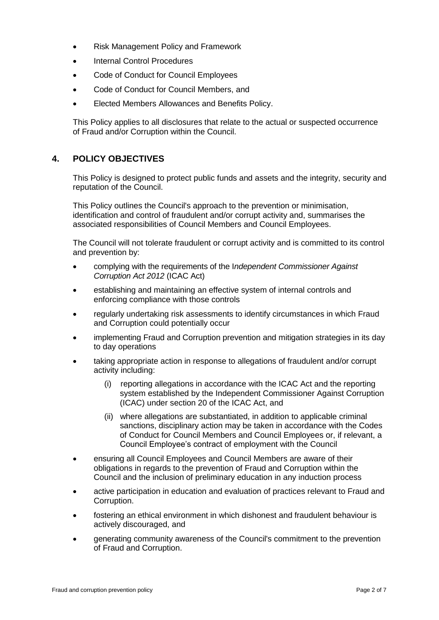- Risk Management Policy and Framework
- Internal Control Procedures
- Code of Conduct for Council Employees
- Code of Conduct for Council Members, and
- Elected Members Allowances and Benefits Policy.

This Policy applies to all disclosures that relate to the actual or suspected occurrence of Fraud and/or Corruption within the Council.

# **4. POLICY OBJECTIVES**

This Policy is designed to protect public funds and assets and the integrity, security and reputation of the Council.

This Policy outlines the Council's approach to the prevention or minimisation, identification and control of fraudulent and/or corrupt activity and, summarises the associated responsibilities of Council Members and Council Employees.

The Council will not tolerate fraudulent or corrupt activity and is committed to its control and prevention by:

- complying with the requirements of the I*ndependent Commissioner Against Corruption Act 2012* (ICAC Act)
- establishing and maintaining an effective system of internal controls and enforcing compliance with those controls
- regularly undertaking risk assessments to identify circumstances in which Fraud and Corruption could potentially occur
- implementing Fraud and Corruption prevention and mitigation strategies in its day to day operations
- taking appropriate action in response to allegations of fraudulent and/or corrupt activity including:
	- (i) reporting allegations in accordance with the ICAC Act and the reporting system established by the Independent Commissioner Against Corruption (ICAC) under section 20 of the ICAC Act, and
	- (ii) where allegations are substantiated, in addition to applicable criminal sanctions, disciplinary action may be taken in accordance with the Codes of Conduct for Council Members and Council Employees or, if relevant, a Council Employee's contract of employment with the Council
- ensuring all Council Employees and Council Members are aware of their obligations in regards to the prevention of Fraud and Corruption within the Council and the inclusion of preliminary education in any induction process
- active participation in education and evaluation of practices relevant to Fraud and Corruption.
- fostering an ethical environment in which dishonest and fraudulent behaviour is actively discouraged, and
- generating community awareness of the Council's commitment to the prevention of Fraud and Corruption.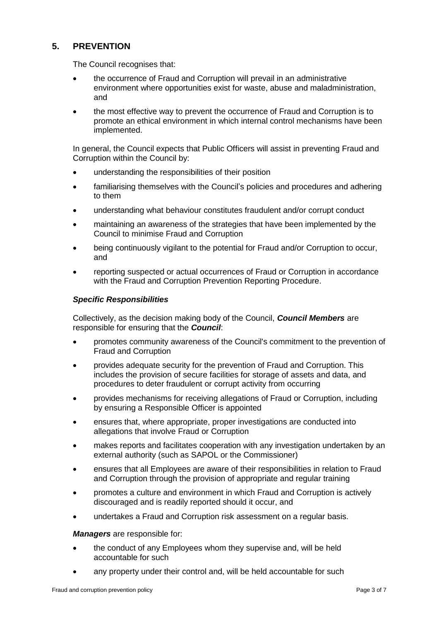# **5. PREVENTION**

The Council recognises that:

- the occurrence of Fraud and Corruption will prevail in an administrative environment where opportunities exist for waste, abuse and maladministration, and
- the most effective way to prevent the occurrence of Fraud and Corruption is to promote an ethical environment in which internal control mechanisms have been implemented.

In general, the Council expects that Public Officers will assist in preventing Fraud and Corruption within the Council by:

- understanding the responsibilities of their position
- familiarising themselves with the Council's policies and procedures and adhering to them
- understanding what behaviour constitutes fraudulent and/or corrupt conduct
- maintaining an awareness of the strategies that have been implemented by the Council to minimise Fraud and Corruption
- being continuously vigilant to the potential for Fraud and/or Corruption to occur, and
- reporting suspected or actual occurrences of Fraud or Corruption in accordance with the Fraud and Corruption Prevention Reporting Procedure.

#### *Specific Responsibilities*

Collectively, as the decision making body of the Council, *Council Members* are responsible for ensuring that the *Council*:

- promotes community awareness of the Council's commitment to the prevention of Fraud and Corruption
- provides adequate security for the prevention of Fraud and Corruption. This includes the provision of secure facilities for storage of assets and data, and procedures to deter fraudulent or corrupt activity from occurring
- provides mechanisms for receiving allegations of Fraud or Corruption, including by ensuring a Responsible Officer is appointed
- ensures that, where appropriate, proper investigations are conducted into allegations that involve Fraud or Corruption
- makes reports and facilitates cooperation with any investigation undertaken by an external authority (such as SAPOL or the Commissioner)
- ensures that all Employees are aware of their responsibilities in relation to Fraud and Corruption through the provision of appropriate and regular training
- promotes a culture and environment in which Fraud and Corruption is actively discouraged and is readily reported should it occur, and
- undertakes a Fraud and Corruption risk assessment on a regular basis.

#### *Managers* are responsible for:

- the conduct of any Employees whom they supervise and, will be held accountable for such
- any property under their control and, will be held accountable for such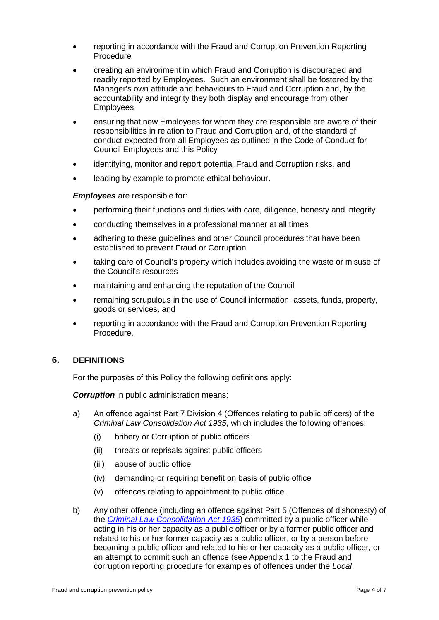- reporting in accordance with the Fraud and Corruption Prevention Reporting Procedure
- creating an environment in which Fraud and Corruption is discouraged and readily reported by Employees. Such an environment shall be fostered by the Manager's own attitude and behaviours to Fraud and Corruption and, by the accountability and integrity they both display and encourage from other Employees
- ensuring that new Employees for whom they are responsible are aware of their responsibilities in relation to Fraud and Corruption and, of the standard of conduct expected from all Employees as outlined in the Code of Conduct for Council Employees and this Policy
- identifying, monitor and report potential Fraud and Corruption risks, and
- leading by example to promote ethical behaviour.

*Employees* are responsible for:

- performing their functions and duties with care, diligence, honesty and integrity
- conducting themselves in a professional manner at all times
- adhering to these guidelines and other Council procedures that have been established to prevent Fraud or Corruption
- taking care of Council's property which includes avoiding the waste or misuse of the Council's resources
- maintaining and enhancing the reputation of the Council
- remaining scrupulous in the use of Council information, assets, funds, property, goods or services, and
- reporting in accordance with the Fraud and Corruption Prevention Reporting Procedure.

### **6. DEFINITIONS**

For the purposes of this Policy the following definitions apply:

**Corruption** in public administration means:

- a) An offence against Part 7 Division 4 (Offences relating to public officers) of the *Criminal Law Consolidation Act 1935*, which includes the following offences:
	- (i) bribery or Corruption of public officers
	- (ii) threats or reprisals against public officers
	- (iii) abuse of public office
	- (iv) demanding or requiring benefit on basis of public office
	- (v) offences relating to appointment to public office.
- b) Any other offence (including an offence against Part 5 (Offences of dishonesty) of the *[Criminal Law Consolidation Act](http://www.legislation.sa.gov.au/index.aspx?action=legref&type=act&legtitle=Criminal%20Law%20Consolidation%20Act%201935) 1935*) committed by a public officer while acting in his or her capacity as a public officer or by a former public officer and related to his or her former capacity as a public officer, or by a person before becoming a public officer and related to his or her capacity as a public officer, or an attempt to commit such an offence (see Appendix 1 to the Fraud and corruption reporting procedure for examples of offences under the *Local*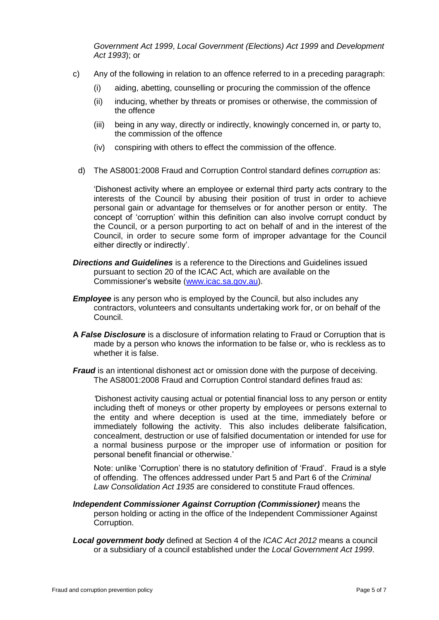*Government Act 1999*, *Local Government (Elections) Act 1999* and *Development Act 1993*); or

- c) Any of the following in relation to an offence referred to in a preceding paragraph:
	- (i) aiding, abetting, counselling or procuring the commission of the offence
	- (ii) inducing, whether by threats or promises or otherwise, the commission of the offence
	- (iii) being in any way, directly or indirectly, knowingly concerned in, or party to, the commission of the offence
	- (iv) conspiring with others to effect the commission of the offence.
	- d) The AS8001:2008 Fraud and Corruption Control standard defines *corruption* as:

'Dishonest activity where an employee or external third party acts contrary to the interests of the Council by abusing their position of trust in order to achieve personal gain or advantage for themselves or for another person or entity. The concept of 'corruption' within this definition can also involve corrupt conduct by the Council, or a person purporting to act on behalf of and in the interest of the Council, in order to secure some form of improper advantage for the Council either directly or indirectly'.

- *Directions and Guidelines* is a reference to the Directions and Guidelines issued pursuant to section 20 of the ICAC Act, which are available on the Commissioner's website [\(www.icac.sa.gov.au\)](http://www.icac.sa.gov.au/).
- *Employee* is any person who is employed by the Council, but also includes any contractors, volunteers and consultants undertaking work for, or on behalf of the Council.
- **A** *False Disclosure* is a disclosure of information relating to Fraud or Corruption that is made by a person who knows the information to be false or, who is reckless as to whether it is false.
- *Fraud* is an intentional dishonest act or omission done with the purpose of deceiving. The AS8001:2008 Fraud and Corruption Control standard defines fraud as:

*'*Dishonest activity causing actual or potential financial loss to any person or entity including theft of moneys or other property by employees or persons external to the entity and where deception is used at the time, immediately before or immediately following the activity. This also includes deliberate falsification, concealment, destruction or use of falsified documentation or intended for use for a normal business purpose or the improper use of information or position for personal benefit financial or otherwise.'

Note: unlike 'Corruption' there is no statutory definition of 'Fraud'. Fraud is a style of offending. The offences addressed under Part 5 and Part 6 of the *Criminal Law Consolidation Act 1935* are considered to constitute Fraud offences.

- *Independent Commissioner Against Corruption (Commissioner)* means the person holding or acting in the office of the Independent Commissioner Against Corruption.
- *Local government body* defined at Section 4 of the *ICAC Act 2012* means a council or a subsidiary of a council established under the *Local Government Act 1999*.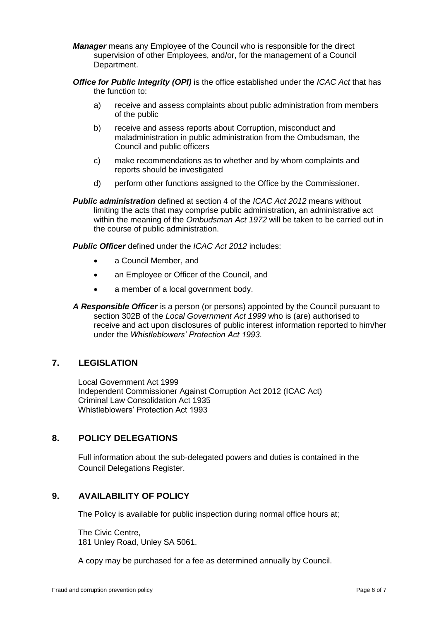- *Manager* means any Employee of the Council who is responsible for the direct supervision of other Employees, and/or, for the management of a Council Department.
- *Office for Public Integrity (OPI)* is the office established under the *ICAC Act* that has the function to:
	- a) receive and assess complaints about public administration from members of the public
	- b) receive and assess reports about Corruption, misconduct and maladministration in public administration from the Ombudsman, the Council and public officers
	- c) make recommendations as to whether and by whom complaints and reports should be investigated
	- d) perform other functions assigned to the Office by the Commissioner.
- *Public administration* defined at section 4 of the *ICAC Act 2012* means without limiting the acts that may comprise public administration, an administrative act within the meaning of the *Ombudsman Act 1972* will be taken to be carried out in the course of public administration.

*Public Officer* defined under the *ICAC Act 2012* includes:

- a Council Member, and
- an Employee or Officer of the Council, and
- a member of a local government body.
- *A Responsible Officer* is a person (or persons) appointed by the Council pursuant to section 302B of the *Local Government Act 1999* who is (are) authorised to receive and act upon disclosures of public interest information reported to him/her under the *Whistleblowers' Protection Act 1993*.

# **7. LEGISLATION**

Local Government Act 1999 Independent Commissioner Against Corruption Act 2012 (ICAC Act) Criminal Law Consolidation Act 1935 Whistleblowers' Protection Act 1993

### **8. POLICY DELEGATIONS**

Full information about the sub-delegated powers and duties is contained in the Council Delegations Register.

# **9. AVAILABILITY OF POLICY**

The Policy is available for public inspection during normal office hours at;

The Civic Centre, 181 Unley Road, Unley SA 5061.

A copy may be purchased for a fee as determined annually by Council.